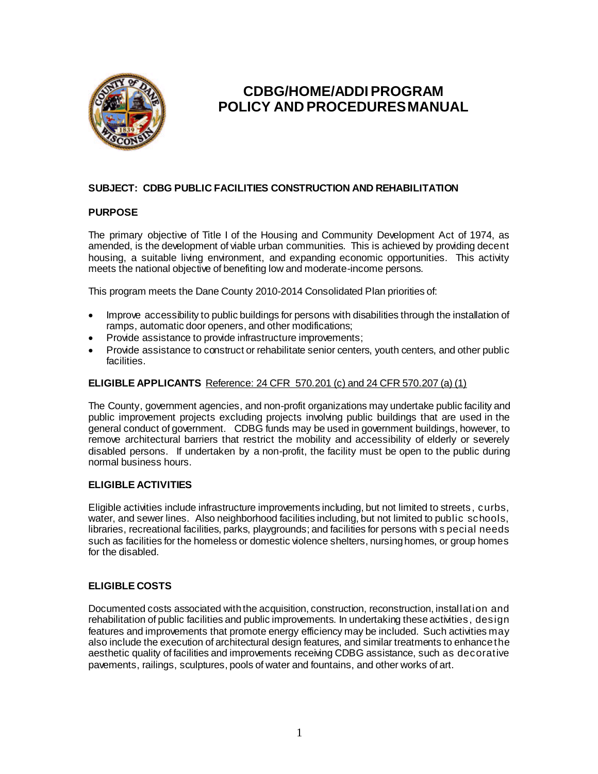

# **CDBG/HOME/ADDI PROGRAM POLICY AND PROCEDURES MANUAL**

# **SUBJECT: CDBG PUBLIC FACILITIES CONSTRUCTION AND REHABILITATION**

## **PURPOSE**

The primary objective of Title I of the Housing and Community Development Act of 1974, as amended, is the development of viable urban communities. This is achieved by providing decent housing, a suitable living environment, and expanding economic opportunities. This activity meets the national objective of benefiting low and moderate-income persons.

This program meets the Dane County 2010-2014 Consolidated Plan priorities of:

- Improve accessibility to public buildings for persons with disabilities through the installation of ramps, automatic door openers, and other modifications;
- Provide assistance to provide infrastructure improvements;
- Provide assistance to construct or rehabilitate senior centers, youth centers, and other public facilities.

#### **ELIGIBLE APPLICANTS** Reference: 24 CFR 570.201 (c) and 24 CFR 570.207 (a) (1)

The County, government agencies, and non-profit organizations may undertake public facility and public improvement projects excluding projects involving public buildings that are used in the general conduct of government. CDBG funds may be used in government buildings, however, to remove architectural barriers that restrict the mobility and accessibility of elderly or severely disabled persons. If undertaken by a non-profit, the facility must be open to the public during normal business hours.

## **ELIGIBLE ACTIVITIES**

Eligible activities include infrastructure improvements including, but not limited to streets, curbs, water, and sewer lines. Also neighborhood facilities including, but not limited to public schools, libraries, recreational facilities, parks, playgrounds; and facilities for persons with s pecial needs such as facilities for the homeless or domestic violence shelters, nursing homes, or group homes for the disabled.

## **ELIGIBLE COSTS**

Documented costs associated with the acquisition, construction, reconstruction, installation and rehabilitation of public facilities and public improvements. In undertaking these activities, design features and improvements that promote energy efficiency may be included. Such activities may also include the execution of architectural design features, and similar treatments to enhance the aesthetic quality of facilities and improvements receiving CDBG assistance, such as decorative pavements, railings, sculptures, pools of water and fountains, and other works of art.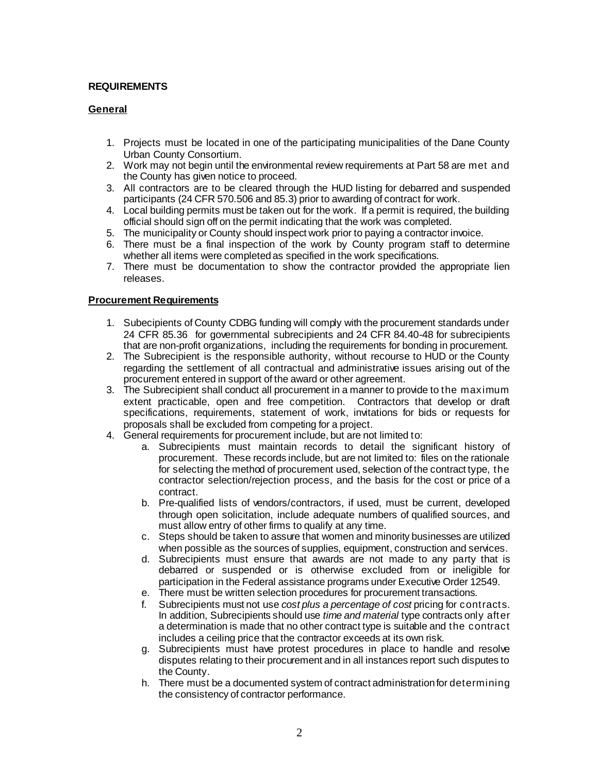## **REQUIREMENTS**

#### **General**

- 1. Projects must be located in one of the participating municipalities of the Dane County Urban County Consortium.
- 2. Work may not begin until the environmental review requirements at Part 58 are met and the County has given notice to proceed.
- 3. All contractors are to be cleared through the HUD listing for debarred and suspended participants (24 CFR 570.506 and 85.3) prior to awarding of contract for work.
- 4. Local building permits must be taken out for the work. If a permit is required, the building official should sign off on the permit indicating that the work was completed.
- 5. The municipality or County should inspect work prior to paying a contractor invoice.
- 6. There must be a final inspection of the work by County program staff to determine whether all items were completed as specified in the work specifications.
- 7. There must be documentation to show the contractor provided the appropriate lien releases.

#### **Procurement Requirements**

- 1. Subecipients of County CDBG funding will comply with the procurement standards under 24 CFR 85.36 for governmental subrecipients and 24 CFR 84.40-48 for subrecipients that are non-profit organizations, including the requirements for bonding in procurement.
- 2. The Subrecipient is the responsible authority, without recourse to HUD or the County regarding the settlement of all contractual and administrative issues arising out of the procurement entered in support of the award or other agreement.
- 3. The Subrecipient shall conduct all procurement in a manner to provide to the maximum extent practicable, open and free competition. Contractors that develop or draft specifications, requirements, statement of work, invitations for bids or requests for proposals shall be excluded from competing for a project.
- 4. General requirements for procurement include, but are not limited to:
	- a. Subrecipients must maintain records to detail the significant history of procurement. These records include, but are not limited to: files on the rationale for selecting the method of procurement used, selection of the contract type, the contractor selection/rejection process, and the basis for the cost or price of a contract.
	- b. Pre-qualified lists of vendors/contractors, if used, must be current, developed through open solicitation, include adequate numbers of qualified sources, and must allow entry of other firms to qualify at any time.
	- c. Steps should be taken to assure that women and minority businesses are utilized when possible as the sources of supplies, equipment, construction and services.
	- d. Subrecipients must ensure that awards are not made to any party that is debarred or suspended or is otherwise excluded from or ineligible for participation in the Federal assistance programs under Executive Order 12549.
	- e. There must be written selection procedures for procurement transactions.
	- f. Subrecipients must not use *cost plus a percentage of cost* pricing for contracts. In addition, Subrecipients should use *time and material* type contracts only after a determination is made that no other contract type is suitable and the contract includes a ceiling price that the contractor exceeds at its own risk.
	- g. Subrecipients must have protest procedures in place to handle and resolve disputes relating to their procurement and in all instances report such disputes to the County.
	- h. There must be a documented system of contract administration for determining the consistency of contractor performance.